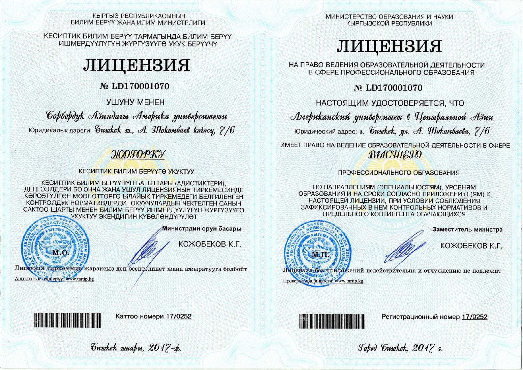КЫРГЫЗ РЕСПУБЛИКАСЫНЫН БИЛИМ БЕРҮҮ ЖАНА ИЛИМ МИНИСТРЛИГИ

КЕСИПТИК БИЛИМ БЕРҮҮ ТАРМАГЫНДА БИЛИМ БЕРҮҮ ИШМЕРДҮҮЛҮГҮН ЖҮРГҮЗҮҮГӨ УКУК БЕРҮҮЧҮ

# ЛИЦЕНЗИЯ

## № LD170001070

УШУНУ МЕНЕН

Gopbopdyk Азиядагы Америка университети Юридикалык дареги: *бишкек ш., А. Шокомбаев колосу*, 7/6

## ЖОГОРКУ

**КЕСИПТИК БИЛИМ БЕРҮҮГӨ УКУКТУУ** 

КЕСИПТИК БИЛИМ БЕРҮҮНҮН БАГЫТТАРЫ (АДИСТИКТЕРИ). ДЕҢГЭЭЛДЕРИ БОЮНЧА ЖАНА УШУЛ ЛИЦЕНЗИЯНЫН ТИРКЕМЕСИНДЕ КӨРСӨТҮЛГӨН МӨӨНӨТТӨРГӨ ЫЛАЙЫК ТИРКЕМЕДЕГИ БЕЛГИЛЕНГЕН КОНТРОЛДУК НОРМАТИВДЕРДИ, ОКУУЧУЛАРДЫН ЧЕКТЕЛГЕН САНЫН САКТОО ШАРТЫ МЕНЕН БИЛИМ БЕРҮҮ ИШМЕРДҮҮЛҮГҮН ЖҮРГҮЗҮҮГӨ УКУКТУУ ЭКЕНДИГИН КҮБӨЛӨНДҮРҮЛӨТ



Аныктыгын текшерүү. www.tartip.kg

Министрдин орун басары

КОЖОБЕКОВ К.Г.

Лицензия тиркемесиз жараксыз деп эсептелинет жана ажыратууга болбойт

МИНИСТЕРСТВО ОБРАЗОВАНИЯ И НАУКИ КЫРГЫЗСКОЙ РЕСПУБЛИКИ

# ЛИЦЕНЗИЯ

НА ПРАВО ВЕДЕНИЯ ОБРАЗОВАТЕЛЬНОЙ ДЕЯТЕЛЬНОСТИ В СФЕРЕ ПРОФЕССИОНАЛЬНОГО ОБРАЗОВАНИЯ

№ LD170001070

НАСТОЯЩИМ УДОСТОВЕРЯЕТСЯ. ЧТО

Американский университет в Центральной Азии

Юридический адрес: г. бишкек, ул. А. Шокомбаева, 7/6

ИМЕЕТ ПРАВО НА ВЕДЕНИЕ ОБРАЗОВАТЕЛЬНОЙ ДЕЯТЕЛЬНОСТИ В СФЕРЕ ВЫСШЕГО

### ПРОФЕССИОНАЛЬНОГО ОБРАЗОВАНИЯ

ПО НАПРАВЛЕНИЯМ (СПЕЦИАЛЬНОСТЯМ), УРОВНЯМ ОБРАЗОВАНИЯ И НА СРОКИ СОГЛАСНО ПРИЛОЖЕНИЮ (ЯМ) К НАСТОЯЩЕЙ ЛИЦЕНЗИИ, ПРИ УСЛОВИИ СОБЛЮДЕНИЯ ЗАФИКСИРОВАННЫХ В НЕМ КОНТРОЛЬНЫХ НОРМАТИВОВ И ПРЕДЕЛЬНОГО КОНТИНГЕНТА ОБУЧАЮЩИХСЯ



Заместитель министра

КОЖОБЕКОВ К.Г.

Лицензия без приложений недействительна и отчуждению не подлежит Проверка подлинности: www.tartip.kg



Каттоо номери 17/0252



Регистрационный номер 17/0252

Johod Guykek, 2017 v.

Guwkek waapu, 2017-x.